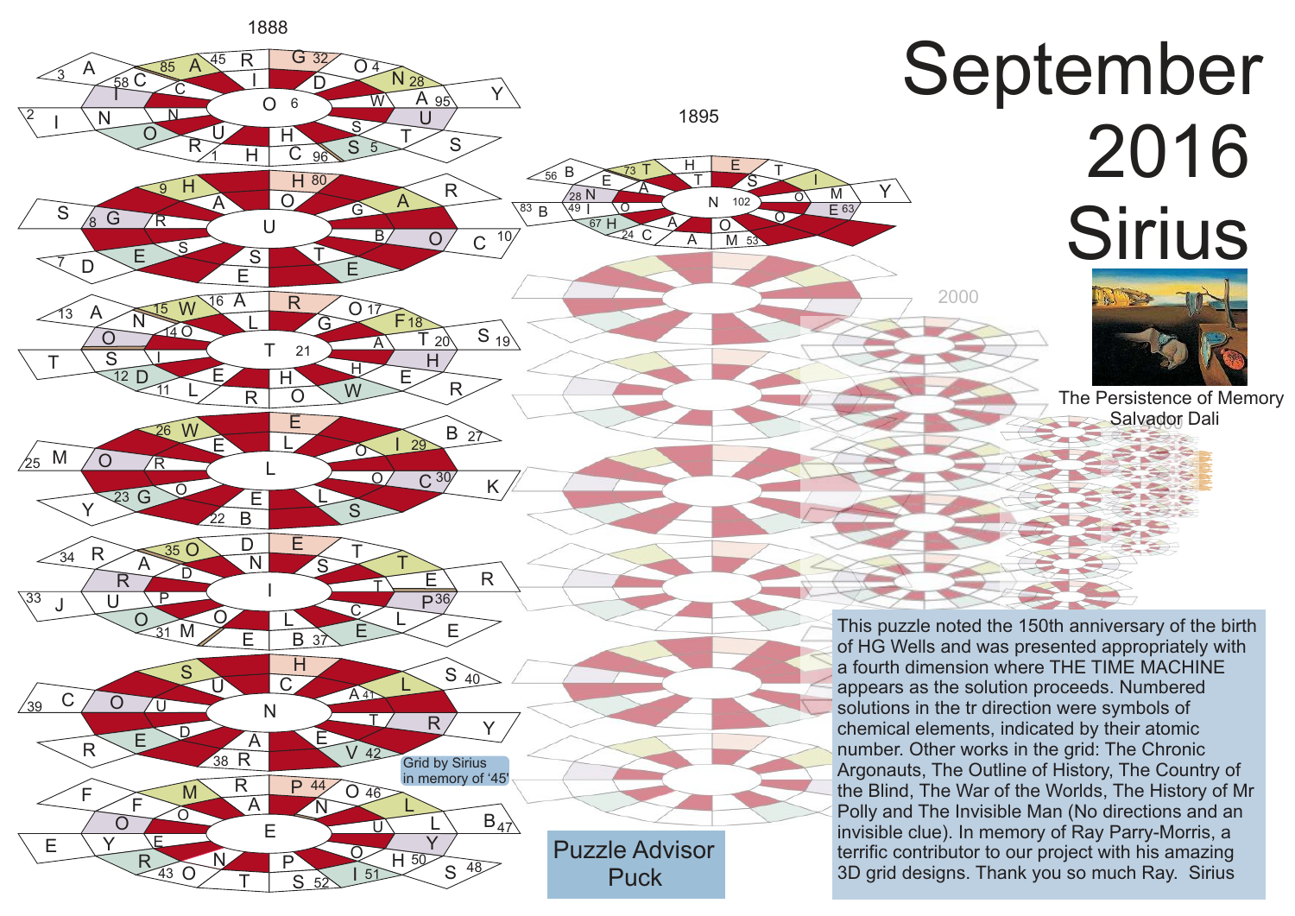

## September 2016 **Sirius**

 $\frac{7}{2}$ 

Y

2000



**Salvador Dali** The Persistence of Memory

This puzzle noted the 150th anniversary of the birth of HG Wells and was presented appropriately with a fourth dimension where THE TIME MACHINE appears as the solution proceeds. Numbered solutions in the tr direction were symbols of chemical elements, indicated by their atomic number. Other works in the grid: The Chronic Argonauts, The Outline of History, The Country of the Blind, The War of the Worlds, The History of Mr Polly and The Invisible Man (No directions and an invisible clue). In memory of Ray Parry-Morris, a terrific contributor to our project with his amazing 3D grid designs. Thank you so much Ray. Sirius